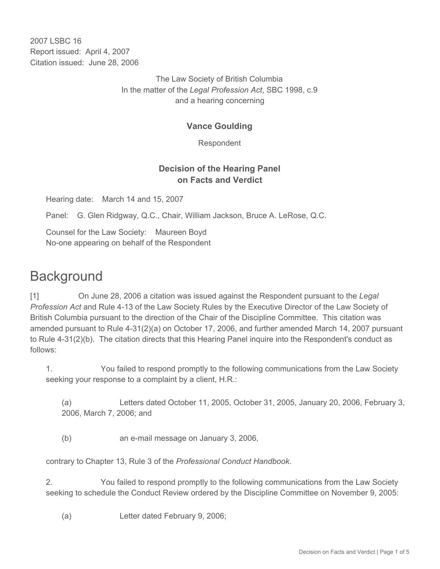2007 LSBC 16 Report issued: April 4, 2007 Citation issued: June 28, 2006

> The Law Society of British Columbia In the matter of the *Legal Profession Act*, SBC 1998, c.9 and a hearing concerning

# **Vance Goulding**

Respondent

# **Decision of the Hearing Panel on Facts and Verdict**

Hearing date: March 14 and 15, 2007

Panel: G. Glen Ridgway, Q.C., Chair, William Jackson, Bruce A. LeRose, Q.C.

Counsel for the Law Society: Maureen Boyd No-one appearing on behalf of the Respondent

# **Background**

[1] On June 28, 2006 a citation was issued against the Respondent pursuant to the *Legal Profession Act* and Rule 4-13 of the Law Society Rules by the Executive Director of the Law Society of British Columbia pursuant to the direction of the Chair of the Discipline Committee. This citation was amended pursuant to Rule 4-31(2)(a) on October 17, 2006, and further amended March 14, 2007 pursuant to Rule 4-31(2)(b). The citation directs that this Hearing Panel inquire into the Respondent's conduct as follows:

1. You failed to respond promptly to the following communications from the Law Society seeking your response to a complaint by a client, H.R.:

(a) Letters dated October 11, 2005, October 31, 2005, January 20, 2006, February 3, 2006, March 7, 2006; and

(b) an e-mail message on January 3, 2006,

contrary to Chapter 13, Rule 3 of the *Professional Conduct Handbook*.

2. You failed to respond promptly to the following communications from the Law Society seeking to schedule the Conduct Review ordered by the Discipline Committee on November 9, 2005:

(a) Letter dated February 9, 2006;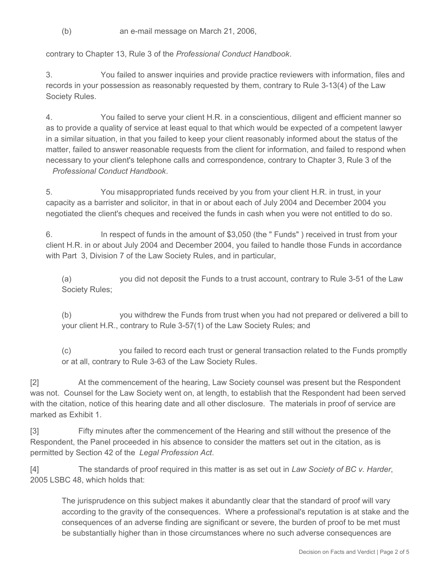(b) an e-mail message on March 21, 2006,

contrary to Chapter 13, Rule 3 of the *Professional Conduct Handbook*.

3. You failed to answer inquiries and provide practice reviewers with information, files and records in your possession as reasonably requested by them, contrary to Rule 3-13(4) of the Law Society Rules.

4. You failed to serve your client H.R. in a conscientious, diligent and efficient manner so as to provide a quality of service at least equal to that which would be expected of a competent lawyer in a similar situation, in that you failed to keep your client reasonably informed about the status of the matter, failed to answer reasonable requests from the client for information, and failed to respond when necessary to your client's telephone calls and correspondence, contrary to Chapter 3, Rule 3 of the *Professional Conduct Handbook*.

5. You misappropriated funds received by you from your client H.R. in trust, in your capacity as a barrister and solicitor, in that in or about each of July 2004 and December 2004 you negotiated the client's cheques and received the funds in cash when you were not entitled to do so.

6. In respect of funds in the amount of \$3,050 (the " Funds" ) received in trust from your client H.R. in or about July 2004 and December 2004, you failed to handle those Funds in accordance with Part 3, Division 7 of the Law Society Rules, and in particular,

(a) you did not deposit the Funds to a trust account, contrary to Rule 3-51 of the Law Society Rules;

(b) you withdrew the Funds from trust when you had not prepared or delivered a bill to your client H.R., contrary to Rule 3-57(1) of the Law Society Rules; and

(c) you failed to record each trust or general transaction related to the Funds promptly or at all, contrary to Rule 3-63 of the Law Society Rules.

[2] At the commencement of the hearing, Law Society counsel was present but the Respondent was not. Counsel for the Law Society went on, at length, to establish that the Respondent had been served with the citation, notice of this hearing date and all other disclosure. The materials in proof of service are marked as Exhibit 1.

[3] Fifty minutes after the commencement of the Hearing and still without the presence of the Respondent, the Panel proceeded in his absence to consider the matters set out in the citation, as is permitted by Section 42 of the *Legal Profession Act*.

[4] The standards of proof required in this matter is as set out in *Law Society of BC v. Harder*, 2005 LSBC 48, which holds that:

The jurisprudence on this subject makes it abundantly clear that the standard of proof will vary according to the gravity of the consequences. Where a professional's reputation is at stake and the consequences of an adverse finding are significant or severe, the burden of proof to be met must be substantially higher than in those circumstances where no such adverse consequences are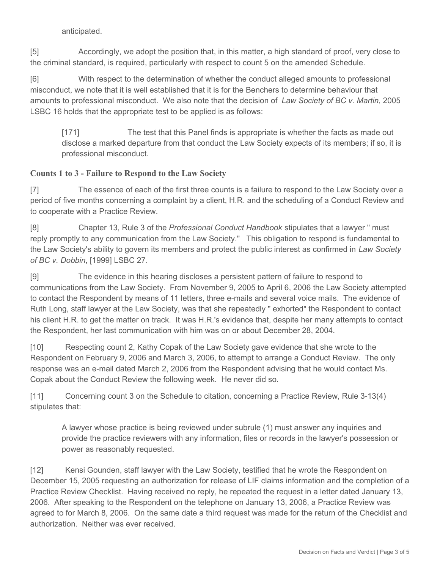#### anticipated.

[5] Accordingly, we adopt the position that, in this matter, a high standard of proof, very close to the criminal standard, is required, particularly with respect to count 5 on the amended Schedule.

[6] With respect to the determination of whether the conduct alleged amounts to professional misconduct, we note that it is well established that it is for the Benchers to determine behaviour that amounts to professional misconduct. We also note that the decision of *Law Society of BC v. Martin*, 2005 LSBC 16 holds that the appropriate test to be applied is as follows:

[171] The test that this Panel finds is appropriate is whether the facts as made out disclose a marked departure from that conduct the Law Society expects of its members; if so, it is professional misconduct.

### **Counts 1 to 3 - Failure to Respond to the Law Society**

[7] The essence of each of the first three counts is a failure to respond to the Law Society over a period of five months concerning a complaint by a client, H.R. and the scheduling of a Conduct Review and to cooperate with a Practice Review.

[8] Chapter 13, Rule 3 of the *Professional Conduct Handbook* stipulates that a lawyer " must reply promptly to any communication from the Law Society." This obligation to respond is fundamental to the Law Society's ability to govern its members and protect the public interest as confirmed in *Law Society of BC v. Dobbin*, [1999] LSBC 27.

[9] The evidence in this hearing discloses a persistent pattern of failure to respond to communications from the Law Society. From November 9, 2005 to April 6, 2006 the Law Society attempted to contact the Respondent by means of 11 letters, three e-mails and several voice mails. The evidence of Ruth Long, staff lawyer at the Law Society, was that she repeatedly " exhorted" the Respondent to contact his client H.R. to get the matter on track. It was H.R.'s evidence that, despite her many attempts to contact the Respondent, her last communication with him was on or about December 28, 2004.

[10] Respecting count 2, Kathy Copak of the Law Society gave evidence that she wrote to the Respondent on February 9, 2006 and March 3, 2006, to attempt to arrange a Conduct Review. The only response was an e-mail dated March 2, 2006 from the Respondent advising that he would contact Ms. Copak about the Conduct Review the following week. He never did so.

[11] Concerning count 3 on the Schedule to citation, concerning a Practice Review, Rule 3-13(4) stipulates that:

A lawyer whose practice is being reviewed under subrule (1) must answer any inquiries and provide the practice reviewers with any information, files or records in the lawyer's possession or power as reasonably requested.

[12] Kensi Gounden, staff lawyer with the Law Society, testified that he wrote the Respondent on December 15, 2005 requesting an authorization for release of LIF claims information and the completion of a Practice Review Checklist. Having received no reply, he repeated the request in a letter dated January 13, 2006. After speaking to the Respondent on the telephone on January 13, 2006, a Practice Review was agreed to for March 8, 2006. On the same date a third request was made for the return of the Checklist and authorization. Neither was ever received.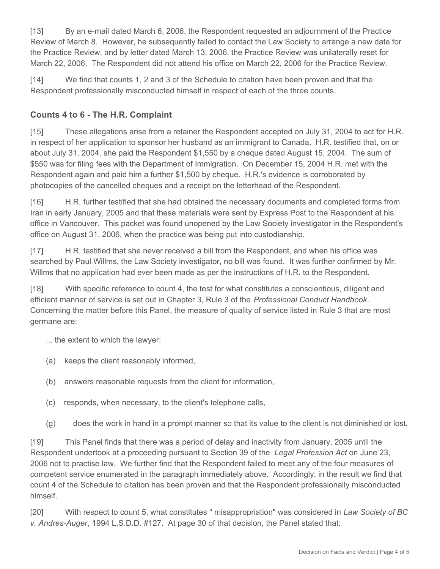[13] By an e-mail dated March 6, 2006, the Respondent requested an adjournment of the Practice Review of March 8. However, he subsequently failed to contact the Law Society to arrange a new date for the Practice Review, and by letter dated March 13, 2006, the Practice Review was unilaterally reset for March 22, 2006. The Respondent did not attend his office on March 22, 2006 for the Practice Review.

[14] We find that counts 1, 2 and 3 of the Schedule to citation have been proven and that the Respondent professionally misconducted himself in respect of each of the three counts.

# **Counts 4 to 6 - The H.R. Complaint**

[15] These allegations arise from a retainer the Respondent accepted on July 31, 2004 to act for H.R. in respect of her application to sponsor her husband as an immigrant to Canada. H.R. testified that, on or about July 31, 2004, she paid the Respondent \$1,550 by a cheque dated August 15, 2004. The sum of \$550 was for filing fees with the Department of Immigration. On December 15, 2004 H.R. met with the Respondent again and paid him a further \$1,500 by cheque. H.R.'s evidence is corroborated by photocopies of the cancelled cheques and a receipt on the letterhead of the Respondent.

[16] H.R. further testified that she had obtained the necessary documents and completed forms from Iran in early January, 2005 and that these materials were sent by Express Post to the Respondent at his office in Vancouver. This packet was found unopened by the Law Society investigator in the Respondent's office on August 31, 2006, when the practice was being put into custodianship.

[17] H.R. testified that she never received a bill from the Respondent, and when his office was searched by Paul Willms, the Law Society investigator, no bill was found. It was further confirmed by Mr. Willms that no application had ever been made as per the instructions of H.R. to the Respondent.

[18] With specific reference to count 4, the test for what constitutes a conscientious, diligent and efficient manner of service is set out in Chapter 3, Rule 3 of the *Professional Conduct Handbook*. Concerning the matter before this Panel, the measure of quality of service listed in Rule 3 that are most germane are:

... the extent to which the lawyer:

- (a) keeps the client reasonably informed,
- (b) answers reasonable requests from the client for information,
- (c) responds, when necessary, to the client's telephone calls,
- (g) does the work in hand in a prompt manner so that its value to the client is not diminished or lost,

[19] This Panel finds that there was a period of delay and inactivity from January, 2005 until the Respondent undertook at a proceeding pursuant to Section 39 of the *Legal Profession Act* on June 23, 2006 not to practise law. We further find that the Respondent failed to meet any of the four measures of competent service enumerated in the paragraph immediately above. Accordingly, in the result we find that count 4 of the Schedule to citation has been proven and that the Respondent professionally misconducted himself.

[20] With respect to count 5, what constitutes " misappropriation" was considered in *Law Society of BC v. Andres-Auger*, 1994 L.S.D.D. #127. At page 30 of that decision, the Panel stated that: